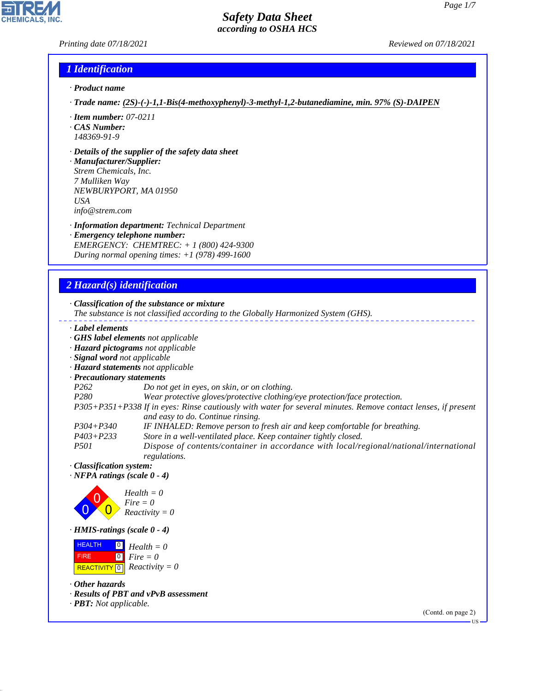#### *Printing date 07/18/2021 Reviewed on 07/18/2021*

**CHEMICALS.** 

# *1 Identification*

- *· Product name*
- *· Trade name: (2S)-(-)-1,1-Bis(4-methoxyphenyl)-3-methyl-1,2-butanediamine, min. 97% (S)-DAIPEN*
- *· Item number: 07-0211*
- *· CAS Number: 148369-91-9*
- *· Details of the supplier of the safety data sheet*

*· Manufacturer/Supplier: Strem Chemicals, Inc. 7 Mulliken Way NEWBURYPORT, MA 01950 USA info@strem.com*

- *· Information department: Technical Department*
- *· Emergency telephone number: EMERGENCY: CHEMTREC: + 1 (800) 424-9300 During normal opening times: +1 (978) 499-1600*

# *2 Hazard(s) identification*

| · Classification of the substance or mixture |  |  |  |
|----------------------------------------------|--|--|--|
|----------------------------------------------|--|--|--|

- *The substance is not classified according to the Globally Harmonized System (GHS).*
- *· Label elements*
- *· GHS label elements not applicable*
- *· Hazard pictograms not applicable*
- *· Signal word not applicable*
- *· Hazard statements not applicable*
- *· Precautionary statements*
- *P262 Do not get in eyes, on skin, or on clothing.*
- *P280 Wear protective gloves/protective clothing/eye protection/face protection.*

*P305+P351+P338 If in eyes: Rinse cautiously with water for several minutes. Remove contact lenses, if present and easy to do. Continue rinsing.*

- *P304+P340 IF INHALED: Remove person to fresh air and keep comfortable for breathing.*
- *P403+P233 Store in a well-ventilated place. Keep container tightly closed.*

*P501 Dispose of contents/container in accordance with local/regional/national/international regulations.*

*· Classification system:*

*· NFPA ratings (scale 0 - 4)*



*· HMIS-ratings (scale 0 - 4)*

 HEALTH FIRE  $\boxed{\text{REACTIVITY} \boxed{0}}$  Reactivity = 0  $\boxed{0}$  $\boxed{0}$ *Health = 0 Fire = 0*

*· Other hazards*

44.1.1

- *· Results of PBT and vPvB assessment*
- *· PBT: Not applicable.*

(Contd. on page 2)

US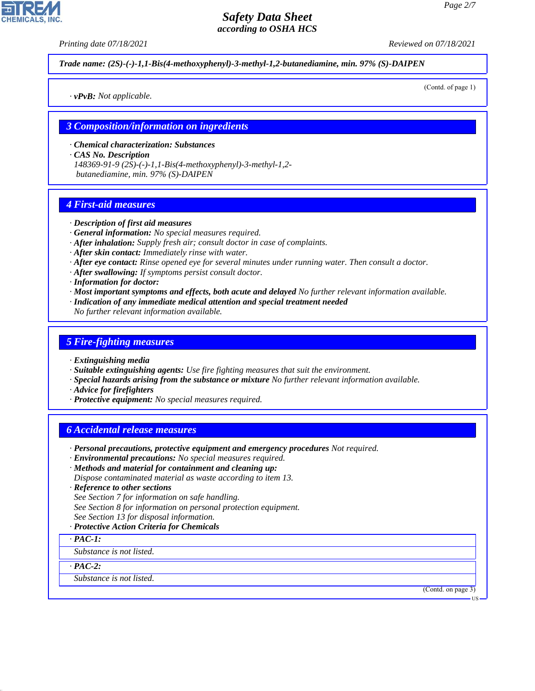*Printing date 07/18/2021 Reviewed on 07/18/2021*

*Trade name: (2S)-(-)-1,1-Bis(4-methoxyphenyl)-3-methyl-1,2-butanediamine, min. 97% (S)-DAIPEN*

*· vPvB: Not applicable.*

(Contd. of page 1)

#### *3 Composition/information on ingredients*

*· Chemical characterization: Substances*

*· CAS No. Description*

*148369-91-9 (2S)-(-)-1,1-Bis(4-methoxyphenyl)-3-methyl-1,2 butanediamine, min. 97% (S)-DAIPEN*

#### *4 First-aid measures*

#### *· Description of first aid measures*

- *· General information: No special measures required.*
- *· After inhalation: Supply fresh air; consult doctor in case of complaints.*
- *· After skin contact: Immediately rinse with water.*
- *· After eye contact: Rinse opened eye for several minutes under running water. Then consult a doctor.*
- *· After swallowing: If symptoms persist consult doctor.*
- *· Information for doctor:*
- *· Most important symptoms and effects, both acute and delayed No further relevant information available.*
- *· Indication of any immediate medical attention and special treatment needed*
- *No further relevant information available.*

#### *5 Fire-fighting measures*

- *· Extinguishing media*
- *· Suitable extinguishing agents: Use fire fighting measures that suit the environment.*
- *· Special hazards arising from the substance or mixture No further relevant information available.*
- *· Advice for firefighters*
- *· Protective equipment: No special measures required.*

#### *6 Accidental release measures*

- *· Personal precautions, protective equipment and emergency procedures Not required.*
- *· Environmental precautions: No special measures required.*
- *· Methods and material for containment and cleaning up:*
- *Dispose contaminated material as waste according to item 13.*
- *· Reference to other sections*
- *See Section 7 for information on safe handling.*
- *See Section 8 for information on personal protection equipment.*
- *See Section 13 for disposal information.*
- *· Protective Action Criteria for Chemicals*
- *· PAC-1:*

*Substance is not listed.*

*· PAC-2:*

44.1.1

*Substance is not listed.*

(Contd. on page 3)

US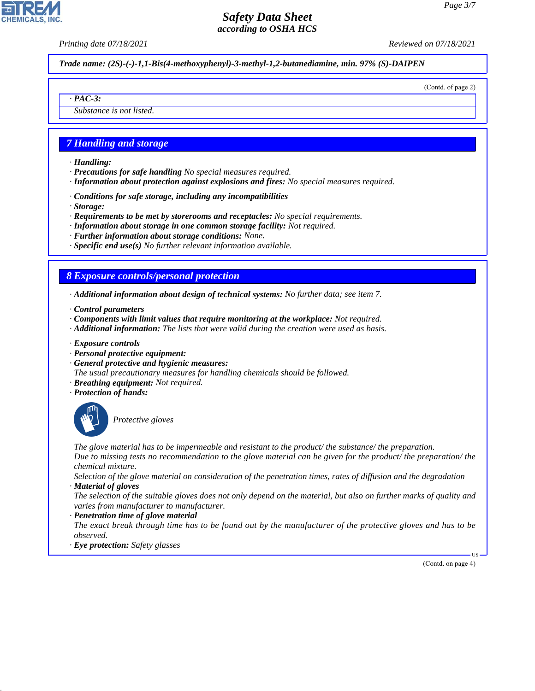*Printing date 07/18/2021 Reviewed on 07/18/2021*

*Trade name: (2S)-(-)-1,1-Bis(4-methoxyphenyl)-3-methyl-1,2-butanediamine, min. 97% (S)-DAIPEN*

(Contd. of page 2)

*Substance is not listed.*

## *7 Handling and storage*

*· Handling:*

*· PAC-3:*

**CHEMICALS,** 

- *· Precautions for safe handling No special measures required.*
- *· Information about protection against explosions and fires: No special measures required.*
- *· Conditions for safe storage, including any incompatibilities*
- *· Storage:*
- *· Requirements to be met by storerooms and receptacles: No special requirements.*
- *· Information about storage in one common storage facility: Not required.*
- *· Further information about storage conditions: None.*
- *· Specific end use(s) No further relevant information available.*

# *8 Exposure controls/personal protection*

- *· Additional information about design of technical systems: No further data; see item 7.*
- *· Control parameters*
- *· Components with limit values that require monitoring at the workplace: Not required.*
- *· Additional information: The lists that were valid during the creation were used as basis.*
- *· Exposure controls*
- *· Personal protective equipment:*
- *· General protective and hygienic measures:*
- *The usual precautionary measures for handling chemicals should be followed.*
- *· Breathing equipment: Not required.*
- *· Protection of hands:*



44.1.1

\_S*Protective gloves*

*The glove material has to be impermeable and resistant to the product/ the substance/ the preparation. Due to missing tests no recommendation to the glove material can be given for the product/ the preparation/ the chemical mixture.*

*Selection of the glove material on consideration of the penetration times, rates of diffusion and the degradation · Material of gloves*

*The selection of the suitable gloves does not only depend on the material, but also on further marks of quality and varies from manufacturer to manufacturer.*

#### *· Penetration time of glove material*

*The exact break through time has to be found out by the manufacturer of the protective gloves and has to be observed.*

*· Eye protection: Safety glasses*

(Contd. on page 4)

US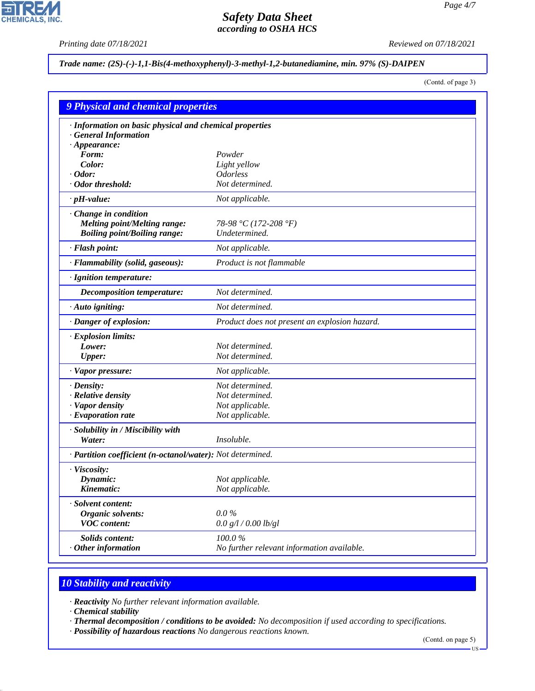$\overline{\mathbf{r}}$ 

**CHEMICALS, INC.** 

*Printing date 07/18/2021 Reviewed on 07/18/2021*

## *Trade name: (2S)-(-)-1,1-Bis(4-methoxyphenyl)-3-methyl-1,2-butanediamine, min. 97% (S)-DAIPEN*

(Contd. of page 3)

| <b>9 Physical and chemical properties</b>                  |                                               |  |
|------------------------------------------------------------|-----------------------------------------------|--|
| · Information on basic physical and chemical properties    |                                               |  |
| · General Information                                      |                                               |  |
| $\cdot$ Appearance:                                        |                                               |  |
| Form:                                                      | Powder                                        |  |
| Color:                                                     | Light yellow                                  |  |
| $\cdot$ Odor:                                              | <b>Odorless</b>                               |  |
| · Odor threshold:                                          | Not determined.                               |  |
| $\cdot$ pH-value:                                          | Not applicable.                               |  |
| Change in condition                                        |                                               |  |
| <b>Melting point/Melting range:</b>                        | 78-98 °C (172-208 °F)                         |  |
| <b>Boiling point/Boiling range:</b>                        | Undetermined.                                 |  |
| · Flash point:                                             | Not applicable.                               |  |
| · Flammability (solid, gaseous):                           | Product is not flammable                      |  |
| · Ignition temperature:                                    |                                               |  |
| Decomposition temperature:                                 | Not determined.                               |  |
| $\cdot$ Auto igniting:                                     | Not determined.                               |  |
| · Danger of explosion:                                     | Product does not present an explosion hazard. |  |
| · Explosion limits:                                        |                                               |  |
| Lower:                                                     | Not determined.                               |  |
| <b>Upper:</b>                                              | Not determined.                               |  |
| · Vapor pressure:                                          | Not applicable.                               |  |
| $\cdot$ Density:                                           | Not determined.                               |  |
| · Relative density                                         | Not determined.                               |  |
| · Vapor density                                            | Not applicable.                               |  |
| $\cdot$ Evaporation rate                                   | Not applicable.                               |  |
| · Solubility in / Miscibility with                         |                                               |  |
| Water:                                                     | Insoluble.                                    |  |
| · Partition coefficient (n-octanol/water): Not determined. |                                               |  |
| · Viscosity:                                               |                                               |  |
| Dynamic:                                                   | Not applicable.                               |  |
| Kinematic:                                                 | Not applicable.                               |  |
| <b>Solvent content:</b>                                    |                                               |  |
| <b>Organic solvents:</b>                                   | $0.0\%$                                       |  |
| <b>VOC</b> content:                                        | 0.0 g/l / 0.00 lb/gl                          |  |
| Solids content:                                            | 100.0%                                        |  |
| Other information                                          | No further relevant information available.    |  |

# *10 Stability and reactivity*

*· Reactivity No further relevant information available.*

*· Chemical stability*

44.1.1

*· Thermal decomposition / conditions to be avoided: No decomposition if used according to specifications.*

*· Possibility of hazardous reactions No dangerous reactions known.*

(Contd. on page 5)

 $-US$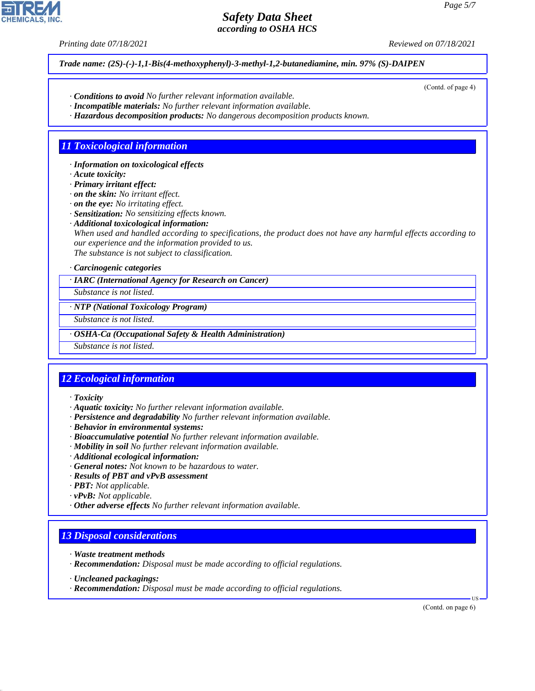*Printing date 07/18/2021 Reviewed on 07/18/2021*

*Trade name: (2S)-(-)-1,1-Bis(4-methoxyphenyl)-3-methyl-1,2-butanediamine, min. 97% (S)-DAIPEN*

- *· Conditions to avoid No further relevant information available.*
- *· Incompatible materials: No further relevant information available.*
- *· Hazardous decomposition products: No dangerous decomposition products known.*

# *11 Toxicological information*

*· Information on toxicological effects*

*· Acute toxicity:*

*· Primary irritant effect:*

*· on the skin: No irritant effect.*

*· on the eye: No irritating effect.*

*· Sensitization: No sensitizing effects known.*

*· Additional toxicological information:*

*When used and handled according to specifications, the product does not have any harmful effects according to our experience and the information provided to us.*

*The substance is not subject to classification.*

#### *· Carcinogenic categories*

*· IARC (International Agency for Research on Cancer)*

*Substance is not listed.*

*· NTP (National Toxicology Program)*

*Substance is not listed.*

*· OSHA-Ca (Occupational Safety & Health Administration)*

*Substance is not listed.*

## *12 Ecological information*

*· Toxicity*

- *· Aquatic toxicity: No further relevant information available.*
- *· Persistence and degradability No further relevant information available.*
- *· Behavior in environmental systems:*
- *· Bioaccumulative potential No further relevant information available.*
- *· Mobility in soil No further relevant information available.*
- *· Additional ecological information:*
- *· General notes: Not known to be hazardous to water.*
- *· Results of PBT and vPvB assessment*
- *· PBT: Not applicable.*
- *· vPvB: Not applicable.*
- *· Other adverse effects No further relevant information available.*

## *13 Disposal considerations*

- *· Waste treatment methods*
- *· Recommendation: Disposal must be made according to official regulations.*
- *· Uncleaned packagings:*

44.1.1

*· Recommendation: Disposal must be made according to official regulations.*

(Contd. on page 6)

US



(Contd. of page 4)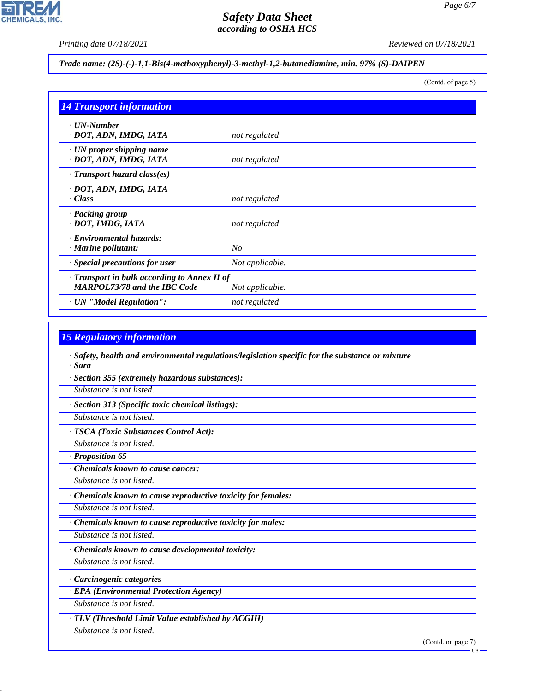*Printing date 07/18/2021 Reviewed on 07/18/2021*

## *Trade name: (2S)-(-)-1,1-Bis(4-methoxyphenyl)-3-methyl-1,2-butanediamine, min. 97% (S)-DAIPEN*

(Contd. of page 5)

*Page 6/7*

| <b>14 Transport information</b>                                                     |                 |
|-------------------------------------------------------------------------------------|-----------------|
| $\cdot$ UN-Number<br>· DOT, ADN, IMDG, IATA                                         | not regulated   |
| $\cdot$ UN proper shipping name<br>· DOT, ADN, IMDG, IATA                           | not regulated   |
| $\cdot$ Transport hazard class(es)                                                  |                 |
| · DOT, ADN, IMDG, IATA<br>$\cdot$ Class                                             | not regulated   |
| · Packing group<br>· DOT, IMDG, IATA                                                | not regulated   |
| · Environmental hazards:<br>$\cdot$ Marine pollutant:                               | No              |
| · Special precautions for user                                                      | Not applicable. |
| · Transport in bulk according to Annex II of<br><b>MARPOL73/78 and the IBC Code</b> | Not applicable. |
| · UN "Model Regulation":                                                            | not regulated   |

# *15 Regulatory information*

*· Safety, health and environmental regulations/legislation specific for the substance or mixture · Sara*

*· Section 355 (extremely hazardous substances):*

*Substance is not listed.*

*· Section 313 (Specific toxic chemical listings):*

*Substance is not listed.*

*· TSCA (Toxic Substances Control Act):*

*Substance is not listed.*

*· Proposition 65*

*· Chemicals known to cause cancer:*

*Substance is not listed.*

*· Chemicals known to cause reproductive toxicity for females:*

*Substance is not listed.*

*· Chemicals known to cause reproductive toxicity for males:*

*Substance is not listed.*

*· Chemicals known to cause developmental toxicity:*

*Substance is not listed.*

*· Carcinogenic categories*

*· EPA (Environmental Protection Agency)*

*Substance is not listed.*

*· TLV (Threshold Limit Value established by ACGIH)*

*Substance is not listed.*

44.1.1

(Contd. on page 7)

US